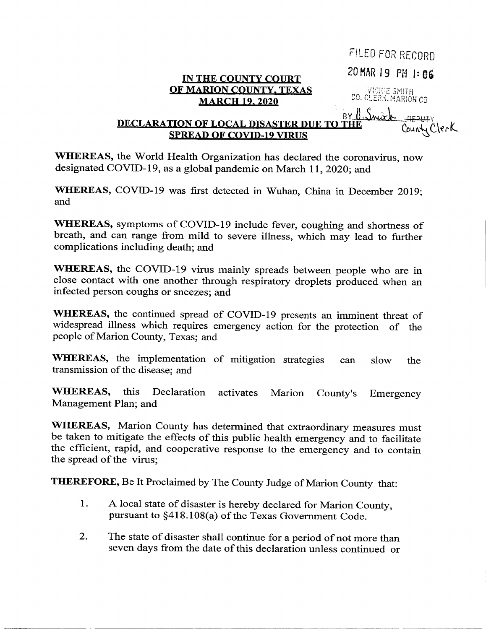|                                                                             | FILED FOR RECORD     |
|-----------------------------------------------------------------------------|----------------------|
| IN THE COUNTY COURT                                                         | 20 MAR 19 PM 1:06    |
| <b>OF MARION COUNTY, TEXAS</b><br><b>MARCH 19, 2020</b>                     | CO. CLERK. MARION CO |
| were something<br><b>DECLARATION OF LOCAL DISASTER DUE TO THE</b><br>Cler K |                      |
| <b>SPREAD OF COVID-19 VIRUS</b>                                             |                      |

WHEREAS, the World Health Organization has declared the coronavirus, now designated COVID-19, as a global pandemic on March 11,2020; and

WHEREAS, COVID-19 was first detected in Wuhan, China in December 2019; and

WHEREAS, symptoms of COVID-19 include fever, coughing and shortness of breath, and can range from mild to severe illness, which may lead to further complications including death; and

WHEREAS, the COVID-19 virus mainly spreads between people who are in close contact with one another through respiratory droplets produced when an infected person coughs or sneezes; and

WHEREAS, the continued spread of COVID-19 presents an imminent threat of widespread illness which requires emergency action for the protection of the people of Marion County, Texas; and

WHEREAS, the implementation of mitigation strategies can slow the transmission of the disease; and

WHEREAS, this Declaration activates Marion County's Emergency Management Plan; and

WHEREAS, Marion County has determined that extraordinary measures must be taken to mitigate the effects of this public health emergency and to facilitate the efficient, rapid, and cooperative response to the emergency and to contain the spread of the virus;

THEREFORE, Be It Proclaimed by The County Judge of Marion County that:

- 1. A local state of disaster is hereby declared for Marion County, pursuant to §418.108(a) of the Texas Government Code.
- 2. The state of disaster shall continue for a period of not more than seven days from the date of this declaration unless continued or